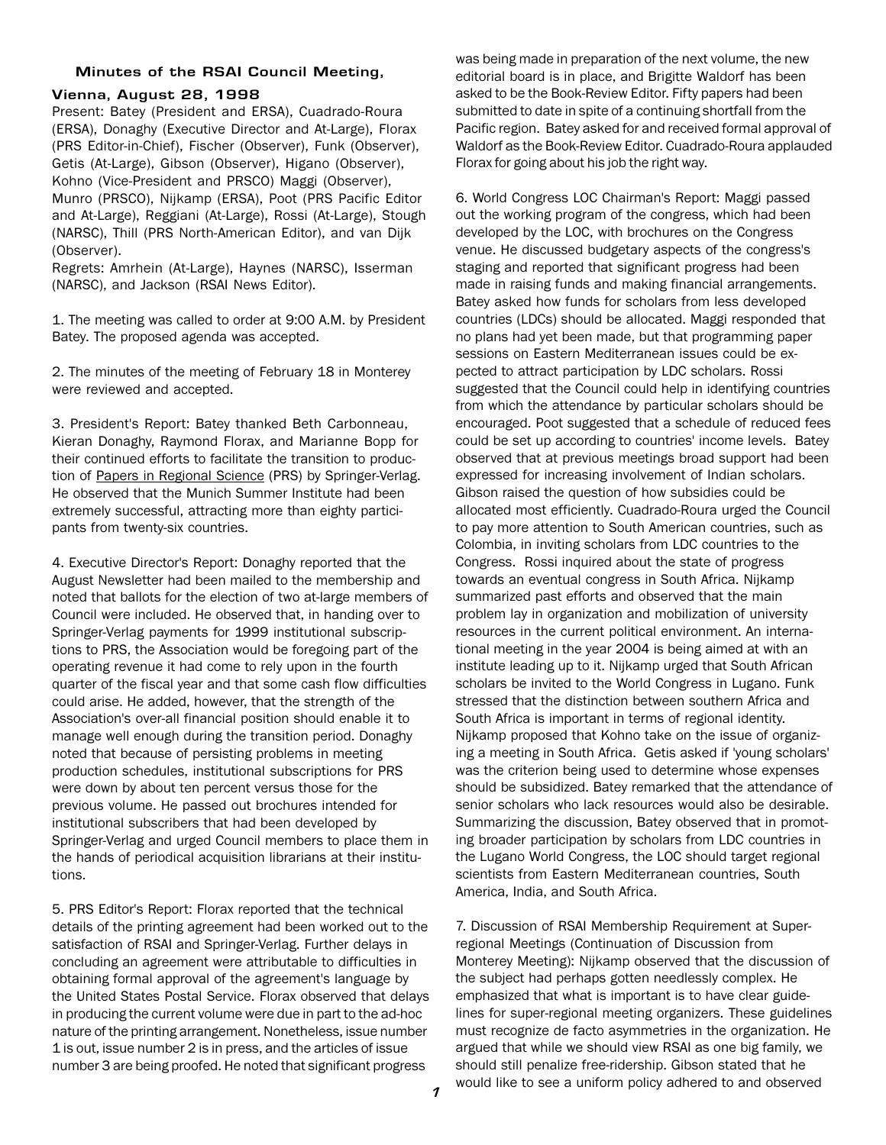## **Minutes of the RSAI Council Meeting,**

## **Vienna, August 28, 1998**

Present: Batey (President and ERSA), Cuadrado-Roura (ERSA), Donaghy (Executive Director and At-Large), Florax (PRS Editor-in-Chief), Fischer (Observer), Funk (Observer), Getis (At-Large), Gibson (Observer), Higano (Observer), Kohno (Vice-President and PRSCO) Maggi (Observer), Munro (PRSCO), Nijkamp (ERSA), Poot (PRS Pacific Editor and At-Large), Reggiani (At-Large), Rossi (At-Large), Stough (NARSC), Thill (PRS North-American Editor), and van Dijk (Observer).

Regrets: Amrhein (At-Large), Haynes (NARSC), Isserman (NARSC), and Jackson (RSAI News Editor).

1. The meeting was called to order at 9:00 A.M. by President Batey. The proposed agenda was accepted.

2. The minutes of the meeting of February 18 in Monterey were reviewed and accepted.

3. President's Report: Batey thanked Beth Carbonneau, Kieran Donaghy, Raymond Florax, and Marianne Bopp for their continued efforts to facilitate the transition to production of Papers in Regional Science (PRS) by Springer-Verlag. He observed that the Munich Summer Institute had been extremely successful, attracting more than eighty participants from twenty-six countries.

4. Executive Director's Report: Donaghy reported that the August Newsletter had been mailed to the membership and noted that ballots for the election of two at-large members of Council were included. He observed that, in handing over to Springer-Verlag payments for 1999 institutional subscriptions to PRS, the Association would be foregoing part of the operating revenue it had come to rely upon in the fourth quarter of the fiscal year and that some cash flow difficulties could arise. He added, however, that the strength of the Association's over-all financial position should enable it to manage well enough during the transition period. Donaghy noted that because of persisting problems in meeting production schedules, institutional subscriptions for PRS were down by about ten percent versus those for the previous volume. He passed out brochures intended for institutional subscribers that had been developed by Springer-Verlag and urged Council members to place them in the hands of periodical acquisition librarians at their institutions.

5. PRS Editor's Report: Florax reported that the technical details of the printing agreement had been worked out to the satisfaction of RSAI and Springer-Verlag. Further delays in concluding an agreement were attributable to difficulties in obtaining formal approval of the agreement's language by the United States Postal Service. Florax observed that delays in producing the current volume were due in part to the ad-hoc nature of the printing arrangement. Nonetheless, issue number 1 is out, issue number 2 is in press, and the articles of issue number 3 are being proofed. He noted that significant progress

was being made in preparation of the next volume, the new editorial board is in place, and Brigitte Waldorf has been asked to be the Book-Review Editor. Fifty papers had been submitted to date in spite of a continuing shortfall from the Pacific region. Batey asked for and received formal approval of Waldorf as the Book-Review Editor. Cuadrado-Roura applauded Florax for going about his job the right way.

6. World Congress LOC Chairman's Report: Maggi passed out the working program of the congress, which had been developed by the LOC, with brochures on the Congress venue. He discussed budgetary aspects of the congress's staging and reported that significant progress had been made in raising funds and making financial arrangements. Batey asked how funds for scholars from less developed countries (LDCs) should be allocated. Maggi responded that no plans had yet been made, but that programming paper sessions on Eastern Mediterranean issues could be expected to attract participation by LDC scholars. Rossi suggested that the Council could help in identifying countries from which the attendance by particular scholars should be encouraged. Poot suggested that a schedule of reduced fees could be set up according to countries' income levels. Batey observed that at previous meetings broad support had been expressed for increasing involvement of Indian scholars. Gibson raised the question of how subsidies could be allocated most efficiently. Cuadrado-Roura urged the Council to pay more attention to South American countries, such as Colombia, in inviting scholars from LDC countries to the Congress. Rossi inquired about the state of progress towards an eventual congress in South Africa. Nijkamp summarized past efforts and observed that the main problem lay in organization and mobilization of university resources in the current political environment. An international meeting in the year 2004 is being aimed at with an institute leading up to it. Nijkamp urged that South African scholars be invited to the World Congress in Lugano. Funk stressed that the distinction between southern Africa and South Africa is important in terms of regional identity. Nijkamp proposed that Kohno take on the issue of organizing a meeting in South Africa. Getis asked if 'young scholars' was the criterion being used to determine whose expenses should be subsidized. Batey remarked that the attendance of senior scholars who lack resources would also be desirable. Summarizing the discussion, Batey observed that in promoting broader participation by scholars from LDC countries in the Lugano World Congress, the LOC should target regional scientists from Eastern Mediterranean countries, South America, India, and South Africa.

7. Discussion of RSAI Membership Requirement at Superregional Meetings (Continuation of Discussion from Monterey Meeting): Nijkamp observed that the discussion of the subject had perhaps gotten needlessly complex. He emphasized that what is important is to have clear guidelines for super-regional meeting organizers. These guidelines must recognize de facto asymmetries in the organization. He argued that while we should view RSAI as one big family, we should still penalize free-ridership. Gibson stated that he would like to see a uniform policy adhered to and observed